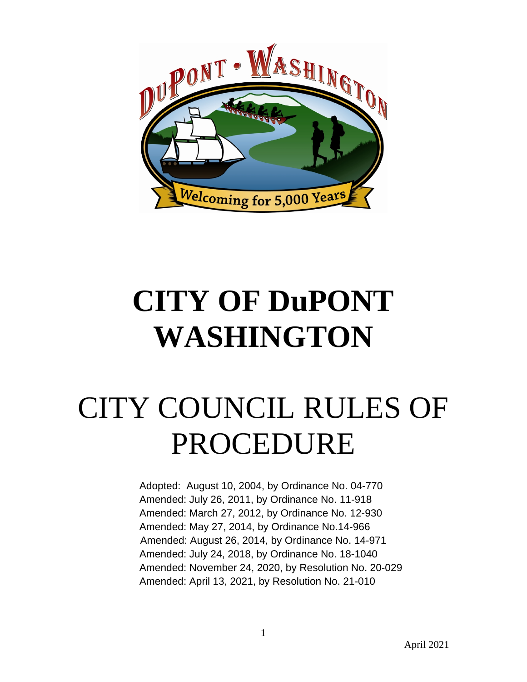

# **CITY OF DuPONT WASHINGTON**

# CITY COUNCIL RULES OF PROCEDURE

Adopted: August 10, 2004, by Ordinance No. 04-770 Amended: July 26, 2011, by Ordinance No. 11-918 Amended: March 27, 2012, by Ordinance No. 12-930 Amended: May 27, 2014, by Ordinance No.14-966 Amended: August 26, 2014, by Ordinance No. 14-971 Amended: July 24, 2018, by Ordinance No. 18-1040 Amended: November 24, 2020, by Resolution No. 20-029 Amended: April 13, 2021, by Resolution No. 21-010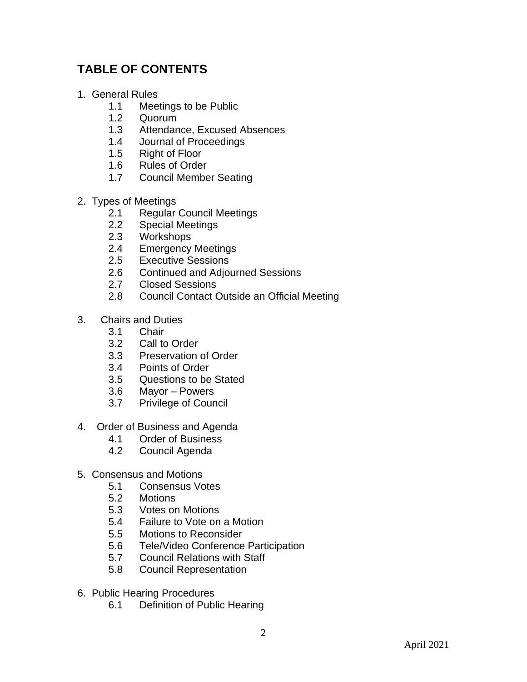# **TABLE OF CONTENTS**

- 1. General Rules
	- 1.1 Meetings to be Public
	- 1.2 Quorum
	- 1.3 Attendance, Excused Absences
	- 1.4 Journal of Proceedings
	- 1.5 Right of Floor
	- 1.6 Rules of Order<br>1.7 Council Membe
	- **Council Member Seating**
- 2. Types of Meetings
	- 2.1 Regular Council Meetings
	- 2.2 Special Meetings
	- 2.3 Workshops
	- 2.4 Emergency Meetings
	- 2.5 Executive Sessions
	- 2.6 Continued and Adjourned Sessions
	- 2.7 Closed Sessions
	- 2.8 Council Contact Outside an Official Meeting
- 3. Chairs and Duties
	- 3.1 Chair
	- 3.2 Call to Order
	- 3.3 Preservation of Order
	- 3.4 Points of Order
	- 3.5 Questions to be Stated<br>3.6 Mavor Powers
	- Mayor Powers
	- 3.7 Privilege of Council
- 4. Order of Business and Agenda
	- 4.1 Order of Business<br>4.2 Council Agenda
	- Council Agenda
- 5. Consensus and Motions
	- 5.1 Consensus Votes<br>5.2 Motions
	- **Motions**
	- 5.3 Votes on Motions
	- 5.4 Failure to Vote on a Motion
	- 5.5 Motions to Reconsider
	- 5.6 Tele/Video Conference Participation
	- 5.7 Council Relations with Staff
	- 5.8 Council Representation
- 6. Public Hearing Procedures
	- 6.1 Definition of Public Hearing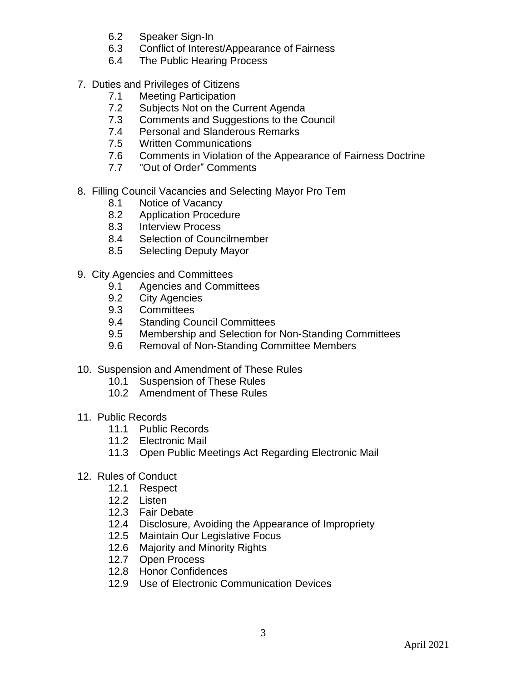- 6.2 Speaker Sign-In
- 6.3 Conflict of Interest/Appearance of Fairness
- 6.4 The Public Hearing Process
- 7. Duties and Privileges of Citizens
	- 7.1 Meeting Participation
	- 7.2 Subjects Not on the Current Agenda
	- 7.3 Comments and Suggestions to the Council
	- 7.4 Personal and Slanderous Remarks
	- 7.5 Written Communications
	- 7.6 Comments in Violation of the Appearance of Fairness Doctrine
	- 7.7 "Out of Order" Comments
- 8. Filling Council Vacancies and Selecting Mayor Pro Tem
	- 8.1 Notice of Vacancy
	- 8.2 Application Procedure
	- 8.3 Interview Process
	- 8.4 Selection of Councilmember
	- 8.5 Selecting Deputy Mayor
- 9. City Agencies and Committees
	- 9.1 Agencies and Committees
	- 9.2 City Agencies
	- 9.3 Committees
	- 9.4 Standing Council Committees
	- 9.5 Membership and Selection for Non-Standing Committees
	- 9.6 Removal of Non-Standing Committee Members
- 10. Suspension and Amendment of These Rules
	- 10.1 Suspension of These Rules
	- 10.2 Amendment of These Rules
- 11. Public Records
	- 11.1 Public Records
	- 11.2 Electronic Mail
	- 11.3 Open Public Meetings Act Regarding Electronic Mail
- 12. Rules of Conduct
	- 12.1 Respect
	- 12.2 Listen
	- 12.3 Fair Debate
	- 12.4 Disclosure, Avoiding the Appearance of Impropriety
	- 12.5 Maintain Our Legislative Focus
	- 12.6 Majority and Minority Rights
	- 12.7 Open Process
	- 12.8 Honor Confidences
	- 12.9 Use of Electronic Communication Devices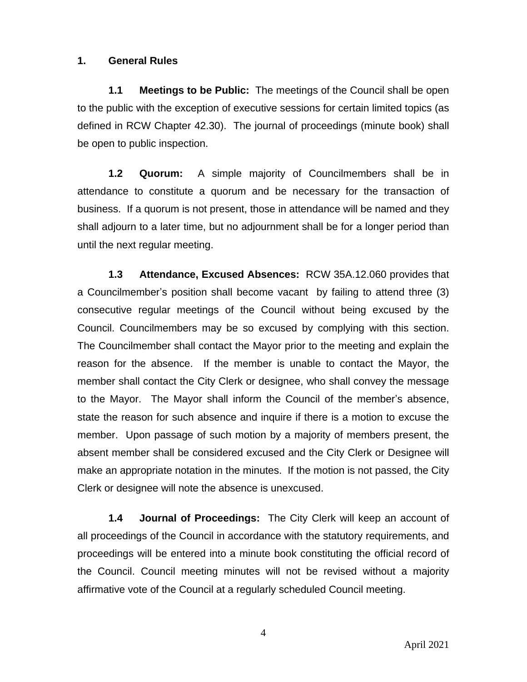### **1. General Rules**

**1.1 Meetings to be Public:** The meetings of the Council shall be open to the public with the exception of executive sessions for certain limited topics (as defined in RCW Chapter 42.30). The journal of proceedings (minute book) shall be open to public inspection.

**1.2 Quorum:** A simple majority of Councilmembers shall be in attendance to constitute a quorum and be necessary for the transaction of business. If a quorum is not present, those in attendance will be named and they shall adjourn to a later time, but no adjournment shall be for a longer period than until the next regular meeting.

**1.3 Attendance, Excused Absences:** RCW 35A.12.060 provides that a Councilmember's position shall become vacant by failing to attend three (3) consecutive regular meetings of the Council without being excused by the Council. Councilmembers may be so excused by complying with this section. The Councilmember shall contact the Mayor prior to the meeting and explain the reason for the absence. If the member is unable to contact the Mayor, the member shall contact the City Clerk or designee, who shall convey the message to the Mayor. The Mayor shall inform the Council of the member's absence, state the reason for such absence and inquire if there is a motion to excuse the member. Upon passage of such motion by a majority of members present, the absent member shall be considered excused and the City Clerk or Designee will make an appropriate notation in the minutes. If the motion is not passed, the City Clerk or designee will note the absence is unexcused.

**1.4 Journal of Proceedings:** The City Clerk will keep an account of all proceedings of the Council in accordance with the statutory requirements, and proceedings will be entered into a minute book constituting the official record of the Council. Council meeting minutes will not be revised without a majority affirmative vote of the Council at a regularly scheduled Council meeting.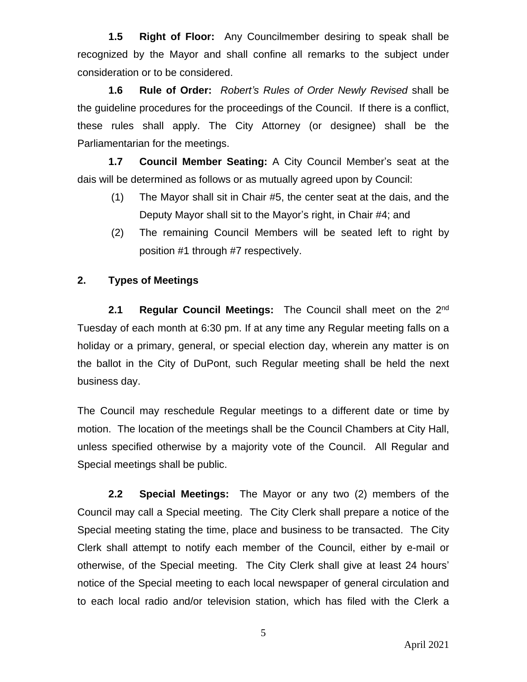**1.5 Right of Floor:** Any Councilmember desiring to speak shall be recognized by the Mayor and shall confine all remarks to the subject under consideration or to be considered.

**1.6 Rule of Order:** *Robert's Rules of Order Newly Revised* shall be the guideline procedures for the proceedings of the Council. If there is a conflict, these rules shall apply. The City Attorney (or designee) shall be the Parliamentarian for the meetings.

**1.7 Council Member Seating:** A City Council Member's seat at the dais will be determined as follows or as mutually agreed upon by Council:

- (1) The Mayor shall sit in Chair #5, the center seat at the dais, and the Deputy Mayor shall sit to the Mayor's right, in Chair #4; and
- (2) The remaining Council Members will be seated left to right by position #1 through #7 respectively.

# **2. Types of Meetings**

**2.1 Regular Council Meetings:** The Council shall meet on the 2 nd Tuesday of each month at 6:30 pm. If at any time any Regular meeting falls on a holiday or a primary, general, or special election day, wherein any matter is on the ballot in the City of DuPont, such Regular meeting shall be held the next business day.

The Council may reschedule Regular meetings to a different date or time by motion. The location of the meetings shall be the Council Chambers at City Hall, unless specified otherwise by a majority vote of the Council. All Regular and Special meetings shall be public.

**2.2 Special Meetings:** The Mayor or any two (2) members of the Council may call a Special meeting. The City Clerk shall prepare a notice of the Special meeting stating the time, place and business to be transacted. The City Clerk shall attempt to notify each member of the Council, either by e-mail or otherwise, of the Special meeting. The City Clerk shall give at least 24 hours' notice of the Special meeting to each local newspaper of general circulation and to each local radio and/or television station, which has filed with the Clerk a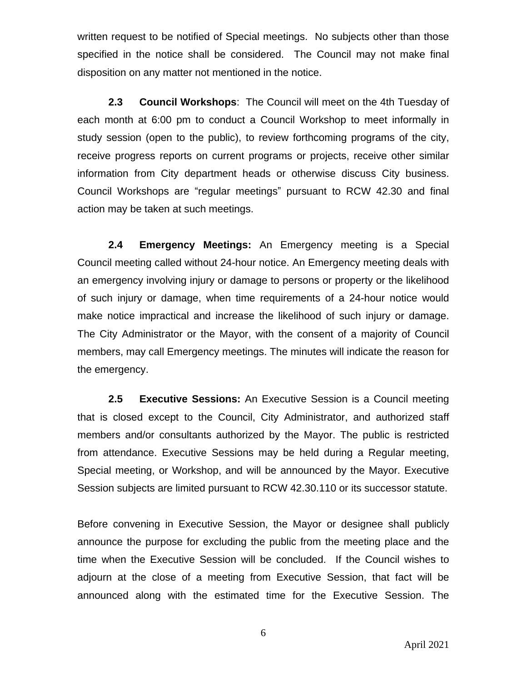written request to be notified of Special meetings. No subjects other than those specified in the notice shall be considered. The Council may not make final disposition on any matter not mentioned in the notice.

**2.3 Council Workshops**: The Council will meet on the 4th Tuesday of each month at 6:00 pm to conduct a Council Workshop to meet informally in study session (open to the public), to review forthcoming programs of the city, receive progress reports on current programs or projects, receive other similar information from City department heads or otherwise discuss City business. Council Workshops are "regular meetings" pursuant to RCW 42.30 and final action may be taken at such meetings.

**2.4 Emergency Meetings:** An Emergency meeting is a Special Council meeting called without 24-hour notice. An Emergency meeting deals with an emergency involving injury or damage to persons or property or the likelihood of such injury or damage, when time requirements of a 24-hour notice would make notice impractical and increase the likelihood of such injury or damage. The City Administrator or the Mayor, with the consent of a majority of Council members, may call Emergency meetings. The minutes will indicate the reason for the emergency.

**2.5 Executive Sessions:** An Executive Session is a Council meeting that is closed except to the Council, City Administrator, and authorized staff members and/or consultants authorized by the Mayor. The public is restricted from attendance. Executive Sessions may be held during a Regular meeting, Special meeting, or Workshop, and will be announced by the Mayor. Executive Session subjects are limited pursuant to RCW 42.30.110 or its successor statute.

Before convening in Executive Session, the Mayor or designee shall publicly announce the purpose for excluding the public from the meeting place and the time when the Executive Session will be concluded. If the Council wishes to adjourn at the close of a meeting from Executive Session, that fact will be announced along with the estimated time for the Executive Session. The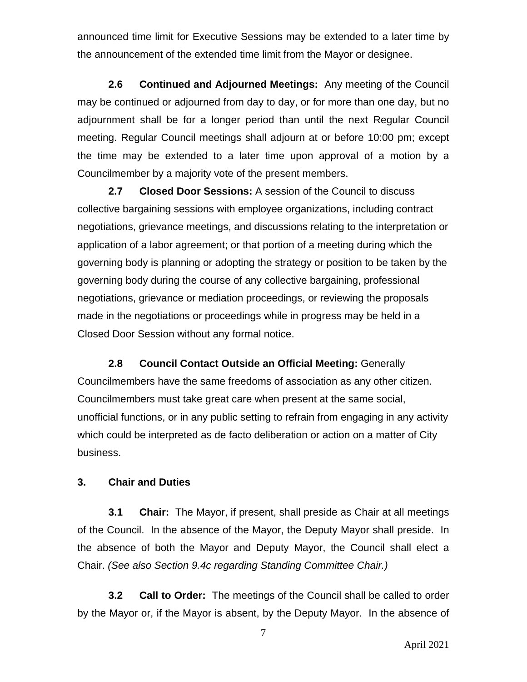announced time limit for Executive Sessions may be extended to a later time by the announcement of the extended time limit from the Mayor or designee.

**2.6 Continued and Adjourned Meetings:** Any meeting of the Council may be continued or adjourned from day to day, or for more than one day, but no adjournment shall be for a longer period than until the next Regular Council meeting. Regular Council meetings shall adjourn at or before 10:00 pm; except the time may be extended to a later time upon approval of a motion by a Councilmember by a majority vote of the present members.

**2.7 Closed Door Sessions:** A session of the Council to discuss collective bargaining sessions with employee organizations, including contract negotiations, grievance meetings, and discussions relating to the interpretation or application of a labor agreement; or that portion of a meeting during which the governing body is planning or adopting the strategy or position to be taken by the governing body during the course of any collective bargaining, professional negotiations, grievance or mediation proceedings, or reviewing the proposals made in the negotiations or proceedings while in progress may be held in a Closed Door Session without any formal notice.

**2.8 Council Contact Outside an Official Meeting:** Generally Councilmembers have the same freedoms of association as any other citizen. Councilmembers must take great care when present at the same social, unofficial functions, or in any public setting to refrain from engaging in any activity which could be interpreted as de facto deliberation or action on a matter of City business.

#### **3. Chair and Duties**

**3.1 Chair:** The Mayor, if present, shall preside as Chair at all meetings of the Council. In the absence of the Mayor, the Deputy Mayor shall preside. In the absence of both the Mayor and Deputy Mayor, the Council shall elect a Chair. *(See also Section 9.4c regarding Standing Committee Chair.)*

**3.2 Call to Order:** The meetings of the Council shall be called to order by the Mayor or, if the Mayor is absent, by the Deputy Mayor. In the absence of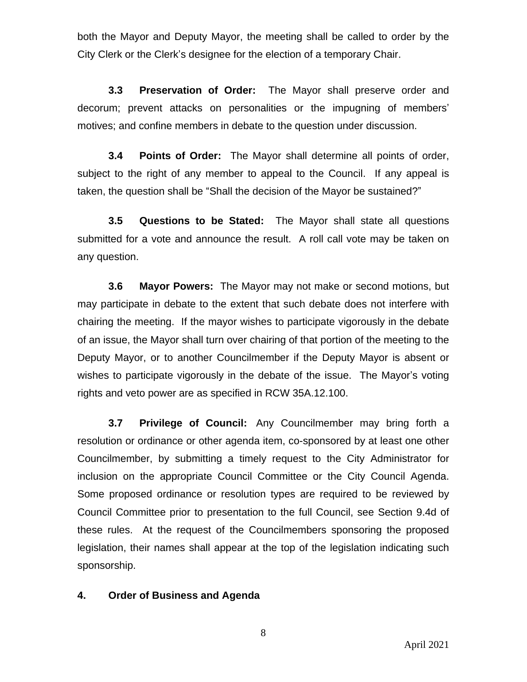both the Mayor and Deputy Mayor, the meeting shall be called to order by the City Clerk or the Clerk's designee for the election of a temporary Chair.

**3.3 Preservation of Order:** The Mayor shall preserve order and decorum; prevent attacks on personalities or the impugning of members' motives; and confine members in debate to the question under discussion.

**3.4 Points of Order:** The Mayor shall determine all points of order, subject to the right of any member to appeal to the Council. If any appeal is taken, the question shall be "Shall the decision of the Mayor be sustained?"

**3.5 Questions to be Stated:** The Mayor shall state all questions submitted for a vote and announce the result. A roll call vote may be taken on any question.

**3.6 Mayor Powers:** The Mayor may not make or second motions, but may participate in debate to the extent that such debate does not interfere with chairing the meeting. If the mayor wishes to participate vigorously in the debate of an issue, the Mayor shall turn over chairing of that portion of the meeting to the Deputy Mayor, or to another Councilmember if the Deputy Mayor is absent or wishes to participate vigorously in the debate of the issue. The Mayor's voting rights and veto power are as specified in RCW 35A.12.100.

**3.7 Privilege of Council:** Any Councilmember may bring forth a resolution or ordinance or other agenda item, co-sponsored by at least one other Councilmember, by submitting a timely request to the City Administrator for inclusion on the appropriate Council Committee or the City Council Agenda. Some proposed ordinance or resolution types are required to be reviewed by Council Committee prior to presentation to the full Council, see Section 9.4d of these rules. At the request of the Councilmembers sponsoring the proposed legislation, their names shall appear at the top of the legislation indicating such sponsorship.

# **4. Order of Business and Agenda**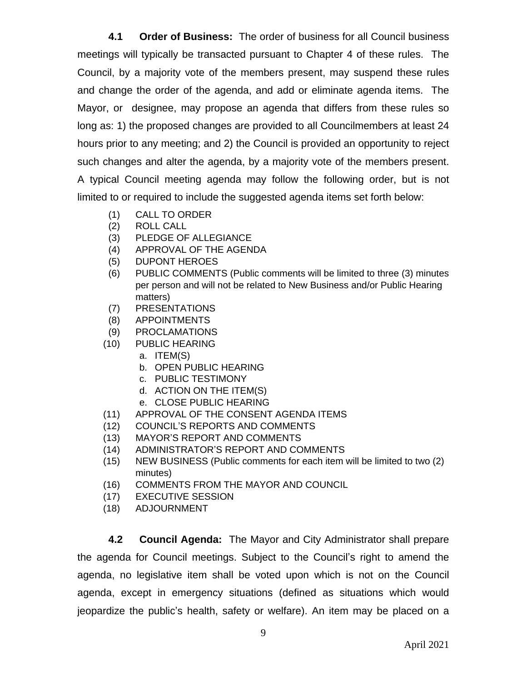**4.1 Order of Business:** The order of business for all Council business meetings will typically be transacted pursuant to Chapter 4 of these rules. The Council, by a majority vote of the members present, may suspend these rules and change the order of the agenda, and add or eliminate agenda items. The Mayor, or designee, may propose an agenda that differs from these rules so long as: 1) the proposed changes are provided to all Councilmembers at least 24 hours prior to any meeting; and 2) the Council is provided an opportunity to reject such changes and alter the agenda, by a majority vote of the members present. A typical Council meeting agenda may follow the following order, but is not limited to or required to include the suggested agenda items set forth below:

- (1) CALL TO ORDER
- (2) ROLL CALL
- (3) PLEDGE OF ALLEGIANCE
- (4) APPROVAL OF THE AGENDA
- (5) DUPONT HEROES
- (6) PUBLIC COMMENTS (Public comments will be limited to three (3) minutes per person and will not be related to New Business and/or Public Hearing matters)
- (7) PRESENTATIONS
- (8) APPOINTMENTS
- (9) PROCLAMATIONS
- (10) PUBLIC HEARING
	- a. ITEM(S)
	- b. OPEN PUBLIC HEARING
	- c. PUBLIC TESTIMONY
	- d. ACTION ON THE ITEM(S)
	- e. CLOSE PUBLIC HEARING
- (11) APPROVAL OF THE CONSENT AGENDA ITEMS
- (12) COUNCIL'S REPORTS AND COMMENTS
- (13) MAYOR'S REPORT AND COMMENTS
- (14) ADMINISTRATOR'S REPORT AND COMMENTS
- (15) NEW BUSINESS (Public comments for each item will be limited to two (2) minutes)
- (16) COMMENTS FROM THE MAYOR AND COUNCIL
- (17) EXECUTIVE SESSION
- (18) ADJOURNMENT

**4.2 Council Agenda:** The Mayor and City Administrator shall prepare the agenda for Council meetings. Subject to the Council's right to amend the agenda, no legislative item shall be voted upon which is not on the Council agenda, except in emergency situations (defined as situations which would jeopardize the public's health, safety or welfare). An item may be placed on a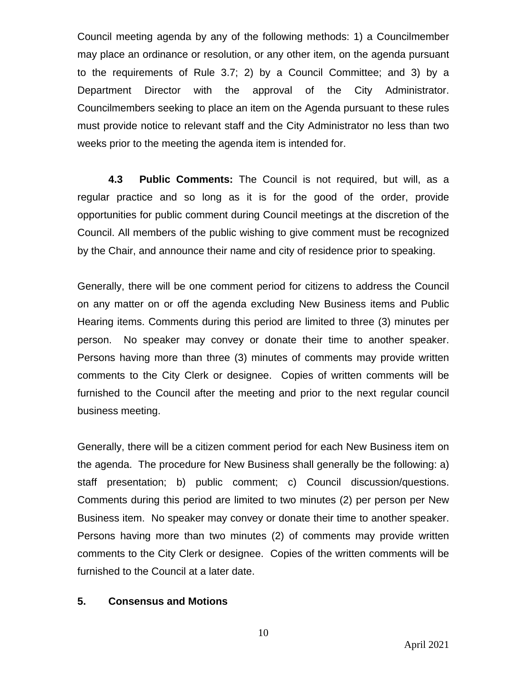Council meeting agenda by any of the following methods: 1) a Councilmember may place an ordinance or resolution, or any other item, on the agenda pursuant to the requirements of Rule 3.7; 2) by a Council Committee; and 3) by a Department Director with the approval of the City Administrator. Councilmembers seeking to place an item on the Agenda pursuant to these rules must provide notice to relevant staff and the City Administrator no less than two weeks prior to the meeting the agenda item is intended for.

**4.3 Public Comments:** The Council is not required, but will, as a regular practice and so long as it is for the good of the order, provide opportunities for public comment during Council meetings at the discretion of the Council. All members of the public wishing to give comment must be recognized by the Chair, and announce their name and city of residence prior to speaking.

Generally, there will be one comment period for citizens to address the Council on any matter on or off the agenda excluding New Business items and Public Hearing items. Comments during this period are limited to three (3) minutes per person. No speaker may convey or donate their time to another speaker. Persons having more than three (3) minutes of comments may provide written comments to the City Clerk or designee. Copies of written comments will be furnished to the Council after the meeting and prior to the next regular council business meeting.

Generally, there will be a citizen comment period for each New Business item on the agenda. The procedure for New Business shall generally be the following: a) staff presentation; b) public comment; c) Council discussion/questions. Comments during this period are limited to two minutes (2) per person per New Business item. No speaker may convey or donate their time to another speaker. Persons having more than two minutes (2) of comments may provide written comments to the City Clerk or designee. Copies of the written comments will be furnished to the Council at a later date.

#### **5. Consensus and Motions**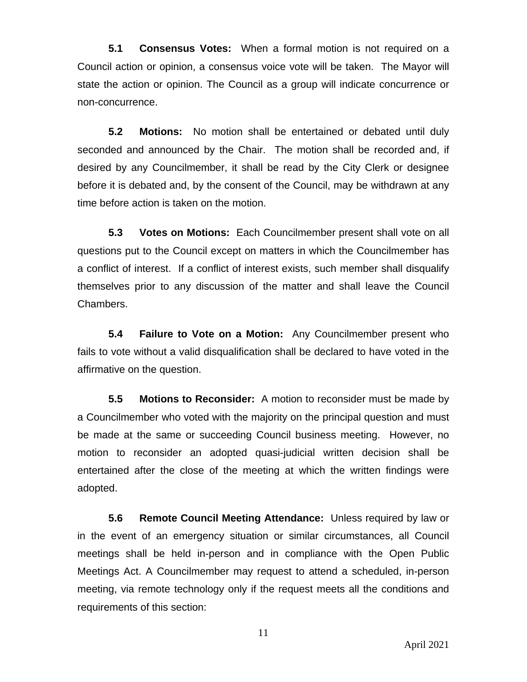**5.1 Consensus Votes:** When a formal motion is not required on a Council action or opinion, a consensus voice vote will be taken. The Mayor will state the action or opinion. The Council as a group will indicate concurrence or non-concurrence.

**5.2 Motions:** No motion shall be entertained or debated until duly seconded and announced by the Chair. The motion shall be recorded and, if desired by any Councilmember, it shall be read by the City Clerk or designee before it is debated and, by the consent of the Council, may be withdrawn at any time before action is taken on the motion.

**5.3 Votes on Motions:** Each Councilmember present shall vote on all questions put to the Council except on matters in which the Councilmember has a conflict of interest. If a conflict of interest exists, such member shall disqualify themselves prior to any discussion of the matter and shall leave the Council Chambers.

**5.4 Failure to Vote on a Motion:** Any Councilmember present who fails to vote without a valid disqualification shall be declared to have voted in the affirmative on the question.

**5.5 Motions to Reconsider:** A motion to reconsider must be made by a Councilmember who voted with the majority on the principal question and must be made at the same or succeeding Council business meeting. However, no motion to reconsider an adopted quasi-judicial written decision shall be entertained after the close of the meeting at which the written findings were adopted.

**5.6 Remote Council Meeting Attendance:** Unless required by law or in the event of an emergency situation or similar circumstances, all Council meetings shall be held in-person and in compliance with the Open Public Meetings Act. A Councilmember may request to attend a scheduled, in-person meeting, via remote technology only if the request meets all the conditions and requirements of this section:

April 2021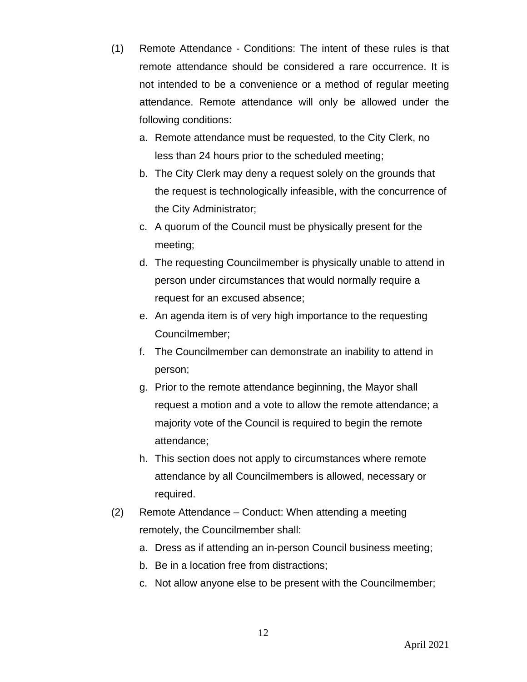- (1) Remote Attendance Conditions: The intent of these rules is that remote attendance should be considered a rare occurrence. It is not intended to be a convenience or a method of regular meeting attendance. Remote attendance will only be allowed under the following conditions:
	- a. Remote attendance must be requested, to the City Clerk, no less than 24 hours prior to the scheduled meeting;
	- b. The City Clerk may deny a request solely on the grounds that the request is technologically infeasible, with the concurrence of the City Administrator;
	- c. A quorum of the Council must be physically present for the meeting;
	- d. The requesting Councilmember is physically unable to attend in person under circumstances that would normally require a request for an excused absence;
	- e. An agenda item is of very high importance to the requesting Councilmember;
	- f. The Councilmember can demonstrate an inability to attend in person;
	- g. Prior to the remote attendance beginning, the Mayor shall request a motion and a vote to allow the remote attendance; a majority vote of the Council is required to begin the remote attendance;
	- h. This section does not apply to circumstances where remote attendance by all Councilmembers is allowed, necessary or required.
- (2) Remote Attendance Conduct: When attending a meeting remotely, the Councilmember shall:
	- a. Dress as if attending an in-person Council business meeting;
	- b. Be in a location free from distractions;
	- c. Not allow anyone else to be present with the Councilmember;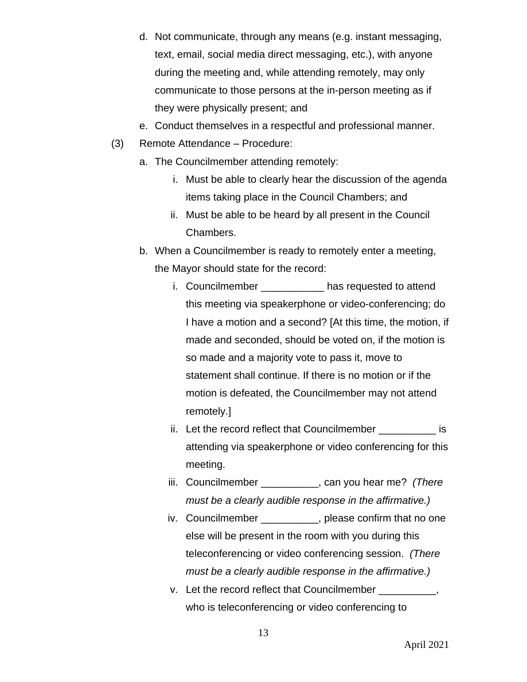- d. Not communicate, through any means (e.g. instant messaging, text, email, social media direct messaging, etc.), with anyone during the meeting and, while attending remotely, may only communicate to those persons at the in-person meeting as if they were physically present; and
- e. Conduct themselves in a respectful and professional manner.
- (3) Remote Attendance Procedure:
	- a. The Councilmember attending remotely:
		- i. Must be able to clearly hear the discussion of the agenda items taking place in the Council Chambers; and
		- ii. Must be able to be heard by all present in the Council Chambers.
	- b. When a Councilmember is ready to remotely enter a meeting, the Mayor should state for the record:
		- i. Councilmember has requested to attend this meeting via speakerphone or video-conferencing; do I have a motion and a second? [At this time, the motion, if made and seconded, should be voted on, if the motion is so made and a majority vote to pass it, move to statement shall continue. If there is no motion or if the motion is defeated, the Councilmember may not attend remotely.]
		- ii. Let the record reflect that Councilmember \_\_\_\_\_\_\_\_\_\_\_\_ is attending via speakerphone or video conferencing for this meeting.
		- iii. Councilmember \_\_\_\_\_\_\_\_\_\_, can you hear me? *(There must be a clearly audible response in the affirmative.)*
		- iv. Councilmember \_\_\_\_\_\_\_\_\_, please confirm that no one else will be present in the room with you during this teleconferencing or video conferencing session. *(There must be a clearly audible response in the affirmative.)*
		- v. Let the record reflect that Councilmember \_\_\_\_\_\_\_\_\_ who is teleconferencing or video conferencing to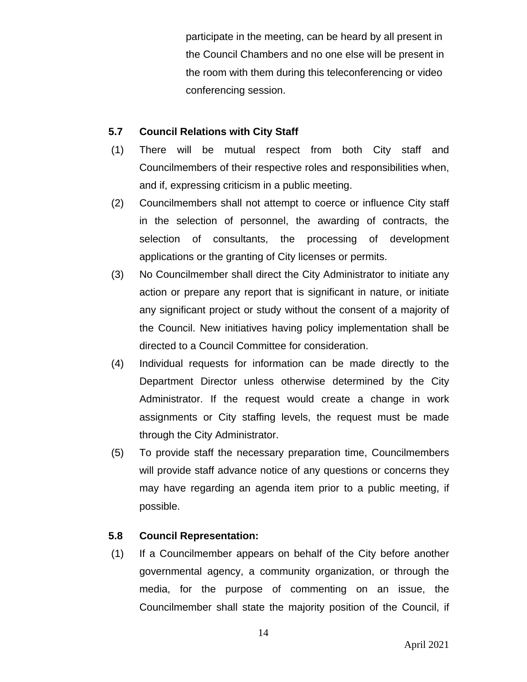participate in the meeting, can be heard by all present in the Council Chambers and no one else will be present in the room with them during this teleconferencing or video conferencing session.

### **5.7 Council Relations with City Staff**

- (1) There will be mutual respect from both City staff and Councilmembers of their respective roles and responsibilities when, and if, expressing criticism in a public meeting.
- (2) Councilmembers shall not attempt to coerce or influence City staff in the selection of personnel, the awarding of contracts, the selection of consultants, the processing of development applications or the granting of City licenses or permits.
- (3) No Councilmember shall direct the City Administrator to initiate any action or prepare any report that is significant in nature, or initiate any significant project or study without the consent of a majority of the Council. New initiatives having policy implementation shall be directed to a Council Committee for consideration.
- (4) Individual requests for information can be made directly to the Department Director unless otherwise determined by the City Administrator. If the request would create a change in work assignments or City staffing levels, the request must be made through the City Administrator.
- (5) To provide staff the necessary preparation time, Councilmembers will provide staff advance notice of any questions or concerns they may have regarding an agenda item prior to a public meeting, if possible.

# **5.8 Council Representation:**

(1) If a Councilmember appears on behalf of the City before another governmental agency, a community organization, or through the media, for the purpose of commenting on an issue, the Councilmember shall state the majority position of the Council, if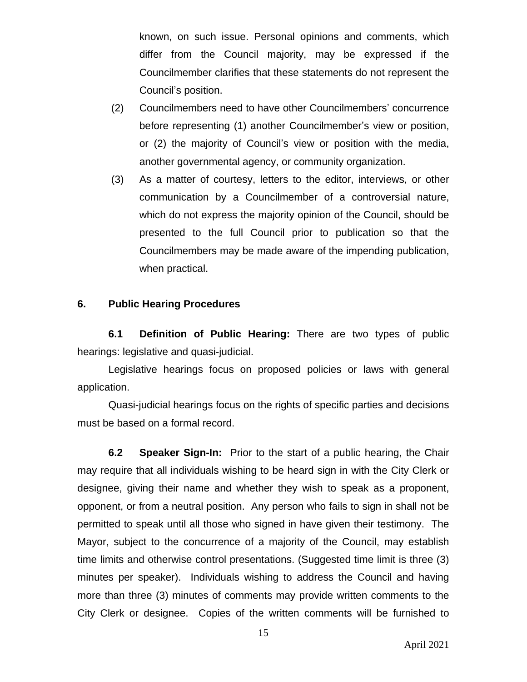known, on such issue. Personal opinions and comments, which differ from the Council majority, may be expressed if the Councilmember clarifies that these statements do not represent the Council's position.

- (2) Councilmembers need to have other Councilmembers' concurrence before representing (1) another Councilmember's view or position, or (2) the majority of Council's view or position with the media, another governmental agency, or community organization.
- (3) As a matter of courtesy, letters to the editor, interviews, or other communication by a Councilmember of a controversial nature, which do not express the majority opinion of the Council, should be presented to the full Council prior to publication so that the Councilmembers may be made aware of the impending publication, when practical.

#### **6. Public Hearing Procedures**

**6.1 Definition of Public Hearing:** There are two types of public hearings: legislative and quasi-judicial.

Legislative hearings focus on proposed policies or laws with general application.

Quasi-judicial hearings focus on the rights of specific parties and decisions must be based on a formal record.

**6.2 Speaker Sign-In:** Prior to the start of a public hearing, the Chair may require that all individuals wishing to be heard sign in with the City Clerk or designee, giving their name and whether they wish to speak as a proponent, opponent, or from a neutral position. Any person who fails to sign in shall not be permitted to speak until all those who signed in have given their testimony. The Mayor, subject to the concurrence of a majority of the Council, may establish time limits and otherwise control presentations. (Suggested time limit is three (3) minutes per speaker). Individuals wishing to address the Council and having more than three (3) minutes of comments may provide written comments to the City Clerk or designee. Copies of the written comments will be furnished to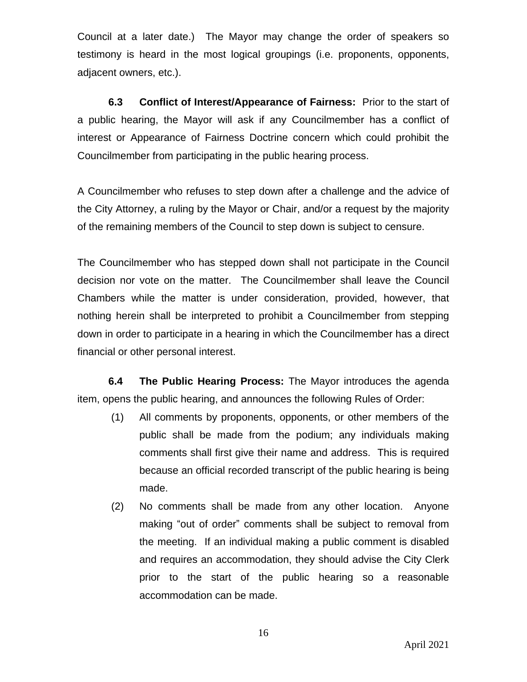Council at a later date.) The Mayor may change the order of speakers so testimony is heard in the most logical groupings (i.e. proponents, opponents, adjacent owners, etc.).

**6.3 Conflict of Interest/Appearance of Fairness:** Prior to the start of a public hearing, the Mayor will ask if any Councilmember has a conflict of interest or Appearance of Fairness Doctrine concern which could prohibit the Councilmember from participating in the public hearing process.

A Councilmember who refuses to step down after a challenge and the advice of the City Attorney, a ruling by the Mayor or Chair, and/or a request by the majority of the remaining members of the Council to step down is subject to censure.

The Councilmember who has stepped down shall not participate in the Council decision nor vote on the matter. The Councilmember shall leave the Council Chambers while the matter is under consideration, provided, however, that nothing herein shall be interpreted to prohibit a Councilmember from stepping down in order to participate in a hearing in which the Councilmember has a direct financial or other personal interest.

**6.4 The Public Hearing Process:** The Mayor introduces the agenda item, opens the public hearing, and announces the following Rules of Order:

- (1) All comments by proponents, opponents, or other members of the public shall be made from the podium; any individuals making comments shall first give their name and address. This is required because an official recorded transcript of the public hearing is being made.
- (2) No comments shall be made from any other location. Anyone making "out of order" comments shall be subject to removal from the meeting. If an individual making a public comment is disabled and requires an accommodation, they should advise the City Clerk prior to the start of the public hearing so a reasonable accommodation can be made.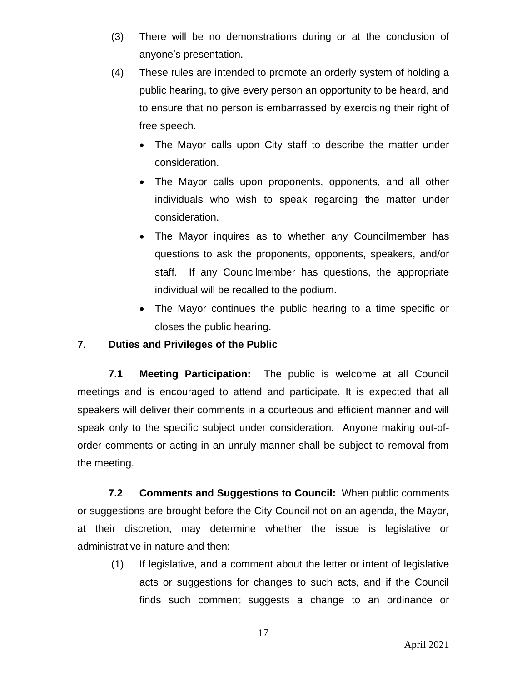- (3) There will be no demonstrations during or at the conclusion of anyone's presentation.
- (4) These rules are intended to promote an orderly system of holding a public hearing, to give every person an opportunity to be heard, and to ensure that no person is embarrassed by exercising their right of free speech.
	- The Mayor calls upon City staff to describe the matter under consideration.
	- The Mayor calls upon proponents, opponents, and all other individuals who wish to speak regarding the matter under consideration.
	- The Mayor inquires as to whether any Councilmember has questions to ask the proponents, opponents, speakers, and/or staff. If any Councilmember has questions, the appropriate individual will be recalled to the podium.
	- The Mayor continues the public hearing to a time specific or closes the public hearing.

# **7**. **Duties and Privileges of the Public**

**7.1 Meeting Participation:** The public is welcome at all Council meetings and is encouraged to attend and participate. It is expected that all speakers will deliver their comments in a courteous and efficient manner and will speak only to the specific subject under consideration. Anyone making out-oforder comments or acting in an unruly manner shall be subject to removal from the meeting.

**7.2 Comments and Suggestions to Council:** When public comments or suggestions are brought before the City Council not on an agenda, the Mayor, at their discretion, may determine whether the issue is legislative or administrative in nature and then:

(1) If legislative, and a comment about the letter or intent of legislative acts or suggestions for changes to such acts, and if the Council finds such comment suggests a change to an ordinance or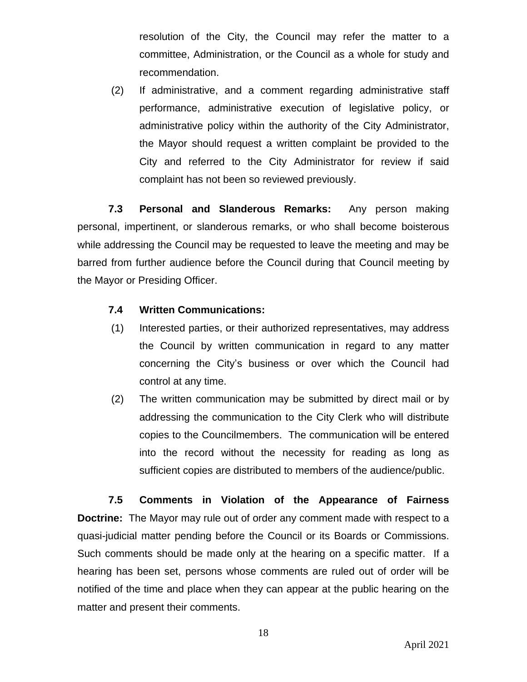resolution of the City, the Council may refer the matter to a committee, Administration, or the Council as a whole for study and recommendation.

(2) If administrative, and a comment regarding administrative staff performance, administrative execution of legislative policy, or administrative policy within the authority of the City Administrator, the Mayor should request a written complaint be provided to the City and referred to the City Administrator for review if said complaint has not been so reviewed previously.

**7.3 Personal and Slanderous Remarks:** Any person making personal, impertinent, or slanderous remarks, or who shall become boisterous while addressing the Council may be requested to leave the meeting and may be barred from further audience before the Council during that Council meeting by the Mayor or Presiding Officer.

### **7.4 Written Communications:**

- (1) Interested parties, or their authorized representatives, may address the Council by written communication in regard to any matter concerning the City's business or over which the Council had control at any time.
- (2) The written communication may be submitted by direct mail or by addressing the communication to the City Clerk who will distribute copies to the Councilmembers. The communication will be entered into the record without the necessity for reading as long as sufficient copies are distributed to members of the audience/public.

**7.5 Comments in Violation of the Appearance of Fairness Doctrine:** The Mayor may rule out of order any comment made with respect to a quasi-judicial matter pending before the Council or its Boards or Commissions. Such comments should be made only at the hearing on a specific matter. If a hearing has been set, persons whose comments are ruled out of order will be notified of the time and place when they can appear at the public hearing on the matter and present their comments.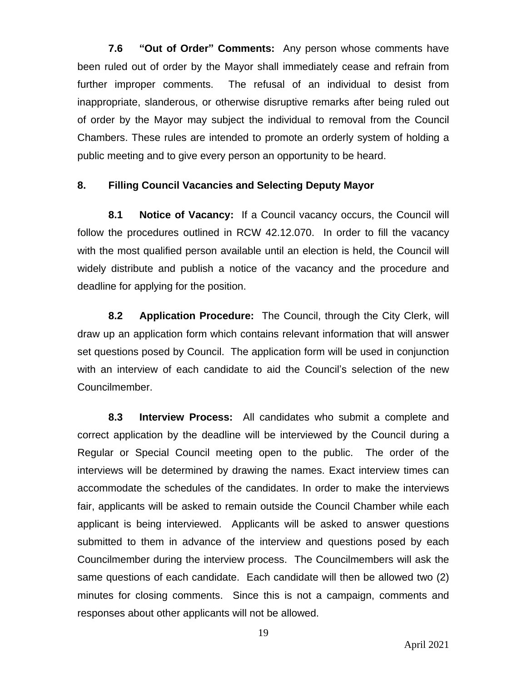**7.6 "Out of Order" Comments:** Any person whose comments have been ruled out of order by the Mayor shall immediately cease and refrain from further improper comments. The refusal of an individual to desist from inappropriate, slanderous, or otherwise disruptive remarks after being ruled out of order by the Mayor may subject the individual to removal from the Council Chambers. These rules are intended to promote an orderly system of holding a public meeting and to give every person an opportunity to be heard.

#### **8. Filling Council Vacancies and Selecting Deputy Mayor**

**8.1 Notice of Vacancy:** If a Council vacancy occurs, the Council will follow the procedures outlined in RCW 42.12.070. In order to fill the vacancy with the most qualified person available until an election is held, the Council will widely distribute and publish a notice of the vacancy and the procedure and deadline for applying for the position.

**8.2 Application Procedure:** The Council, through the City Clerk, will draw up an application form which contains relevant information that will answer set questions posed by Council. The application form will be used in conjunction with an interview of each candidate to aid the Council's selection of the new Councilmember.

**8.3 Interview Process:** All candidates who submit a complete and correct application by the deadline will be interviewed by the Council during a Regular or Special Council meeting open to the public. The order of the interviews will be determined by drawing the names. Exact interview times can accommodate the schedules of the candidates. In order to make the interviews fair, applicants will be asked to remain outside the Council Chamber while each applicant is being interviewed. Applicants will be asked to answer questions submitted to them in advance of the interview and questions posed by each Councilmember during the interview process. The Councilmembers will ask the same questions of each candidate. Each candidate will then be allowed two (2) minutes for closing comments. Since this is not a campaign, comments and responses about other applicants will not be allowed.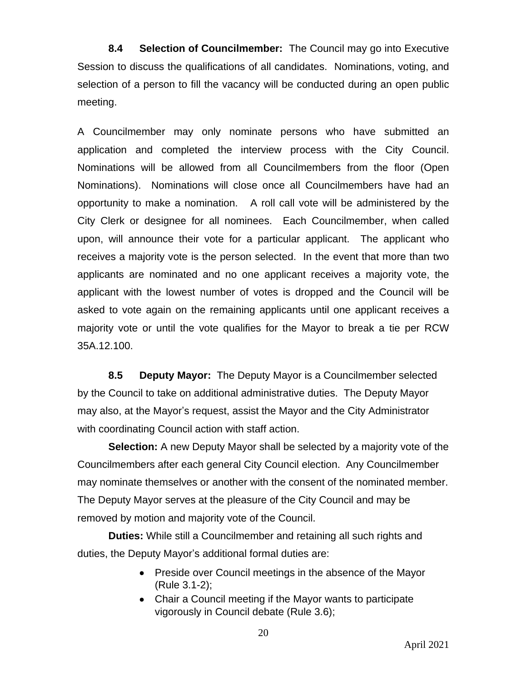**8.4 Selection of Councilmember:** The Council may go into Executive Session to discuss the qualifications of all candidates. Nominations, voting, and selection of a person to fill the vacancy will be conducted during an open public meeting.

A Councilmember may only nominate persons who have submitted an application and completed the interview process with the City Council. Nominations will be allowed from all Councilmembers from the floor (Open Nominations). Nominations will close once all Councilmembers have had an opportunity to make a nomination. A roll call vote will be administered by the City Clerk or designee for all nominees. Each Councilmember, when called upon, will announce their vote for a particular applicant. The applicant who receives a majority vote is the person selected. In the event that more than two applicants are nominated and no one applicant receives a majority vote, the applicant with the lowest number of votes is dropped and the Council will be asked to vote again on the remaining applicants until one applicant receives a majority vote or until the vote qualifies for the Mayor to break a tie per RCW 35A.12.100.

**8.5 Deputy Mayor:** The Deputy Mayor is a Councilmember selected by the Council to take on additional administrative duties. The Deputy Mayor may also, at the Mayor's request, assist the Mayor and the City Administrator with coordinating Council action with staff action.

**Selection:** A new Deputy Mayor shall be selected by a majority vote of the Councilmembers after each general City Council election. Any Councilmember may nominate themselves or another with the consent of the nominated member. The Deputy Mayor serves at the pleasure of the City Council and may be removed by motion and majority vote of the Council.

**Duties:** While still a Councilmember and retaining all such rights and duties, the Deputy Mayor's additional formal duties are:

- Preside over Council meetings in the absence of the Mayor (Rule 3.1-2);
- Chair a Council meeting if the Mayor wants to participate vigorously in Council debate (Rule 3.6);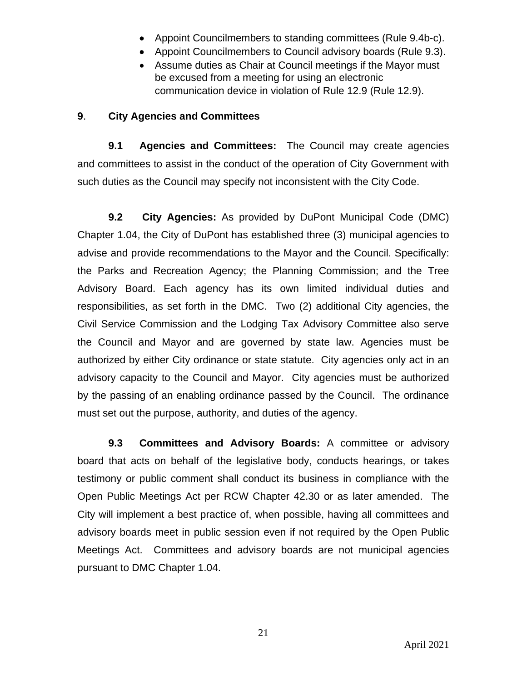- Appoint Councilmembers to standing committees (Rule 9.4b-c).
- Appoint Councilmembers to Council advisory boards (Rule 9.3).
- Assume duties as Chair at Council meetings if the Mayor must be excused from a meeting for using an electronic communication device in violation of Rule 12.9 (Rule 12.9).

# **9**. **City Agencies and Committees**

**9.1 Agencies and Committees:** The Council may create agencies and committees to assist in the conduct of the operation of City Government with such duties as the Council may specify not inconsistent with the City Code.

**9.2 City Agencies:** As provided by DuPont Municipal Code (DMC) Chapter 1.04, the City of DuPont has established three (3) municipal agencies to advise and provide recommendations to the Mayor and the Council. Specifically: the Parks and Recreation Agency; the Planning Commission; and the Tree Advisory Board. Each agency has its own limited individual duties and responsibilities, as set forth in the DMC. Two (2) additional City agencies, the Civil Service Commission and the Lodging Tax Advisory Committee also serve the Council and Mayor and are governed by state law. Agencies must be authorized by either City ordinance or state statute. City agencies only act in an advisory capacity to the Council and Mayor. City agencies must be authorized by the passing of an enabling ordinance passed by the Council. The ordinance must set out the purpose, authority, and duties of the agency.

**9.3 Committees and Advisory Boards:** A committee or advisory board that acts on behalf of the legislative body, conducts hearings, or takes testimony or public comment shall conduct its business in compliance with the Open Public Meetings Act per RCW Chapter 42.30 or as later amended. The City will implement a best practice of, when possible, having all committees and advisory boards meet in public session even if not required by the Open Public Meetings Act. Committees and advisory boards are not municipal agencies pursuant to DMC Chapter 1.04.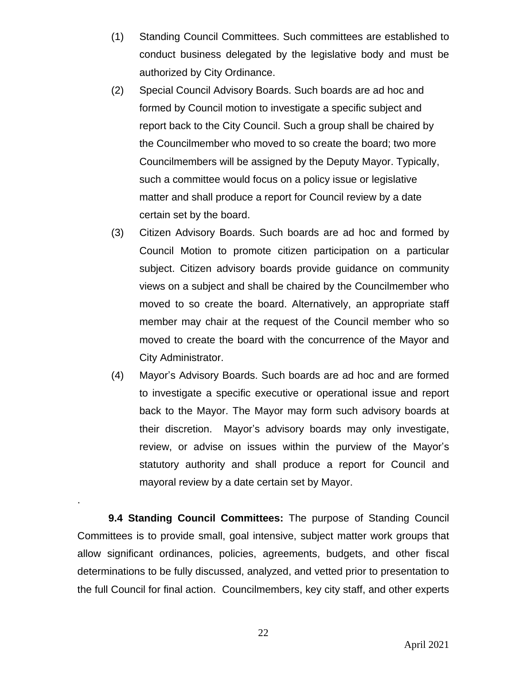- (1) Standing Council Committees. Such committees are established to conduct business delegated by the legislative body and must be authorized by City Ordinance.
- (2) Special Council Advisory Boards. Such boards are ad hoc and formed by Council motion to investigate a specific subject and report back to the City Council. Such a group shall be chaired by the Councilmember who moved to so create the board; two more Councilmembers will be assigned by the Deputy Mayor. Typically, such a committee would focus on a policy issue or legislative matter and shall produce a report for Council review by a date certain set by the board.
- (3) Citizen Advisory Boards. Such boards are ad hoc and formed by Council Motion to promote citizen participation on a particular subject. Citizen advisory boards provide guidance on community views on a subject and shall be chaired by the Councilmember who moved to so create the board. Alternatively, an appropriate staff member may chair at the request of the Council member who so moved to create the board with the concurrence of the Mayor and City Administrator.
- (4) Mayor's Advisory Boards. Such boards are ad hoc and are formed to investigate a specific executive or operational issue and report back to the Mayor. The Mayor may form such advisory boards at their discretion. Mayor's advisory boards may only investigate, review, or advise on issues within the purview of the Mayor's statutory authority and shall produce a report for Council and mayoral review by a date certain set by Mayor.

**9.4 Standing Council Committees:** The purpose of Standing Council Committees is to provide small, goal intensive, subject matter work groups that allow significant ordinances, policies, agreements, budgets, and other fiscal determinations to be fully discussed, analyzed, and vetted prior to presentation to the full Council for final action. Councilmembers, key city staff, and other experts

.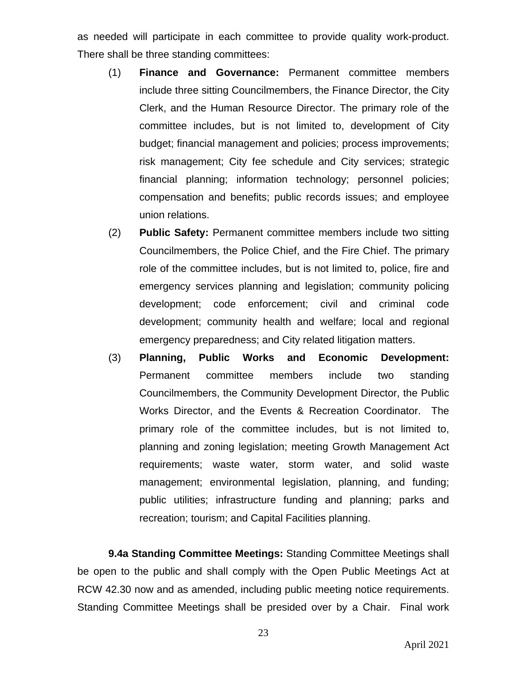as needed will participate in each committee to provide quality work-product. There shall be three standing committees:

- (1) **Finance and Governance:** Permanent committee members include three sitting Councilmembers, the Finance Director, the City Clerk, and the Human Resource Director. The primary role of the committee includes, but is not limited to, development of City budget; financial management and policies; process improvements; risk management; City fee schedule and City services; strategic financial planning; information technology; personnel policies; compensation and benefits; public records issues; and employee union relations.
- (2) **Public Safety:** Permanent committee members include two sitting Councilmembers, the Police Chief, and the Fire Chief. The primary role of the committee includes, but is not limited to, police, fire and emergency services planning and legislation; community policing development; code enforcement; civil and criminal code development; community health and welfare; local and regional emergency preparedness; and City related litigation matters.
- (3) **Planning, Public Works and Economic Development:** Permanent committee members include two standing Councilmembers, the Community Development Director, the Public Works Director, and the Events & Recreation Coordinator. The primary role of the committee includes, but is not limited to, planning and zoning legislation; meeting Growth Management Act requirements; waste water, storm water, and solid waste management; environmental legislation, planning, and funding; public utilities; infrastructure funding and planning; parks and recreation; tourism; and Capital Facilities planning.

**9.4a Standing Committee Meetings:** Standing Committee Meetings shall be open to the public and shall comply with the Open Public Meetings Act at RCW 42.30 now and as amended, including public meeting notice requirements. Standing Committee Meetings shall be presided over by a Chair. Final work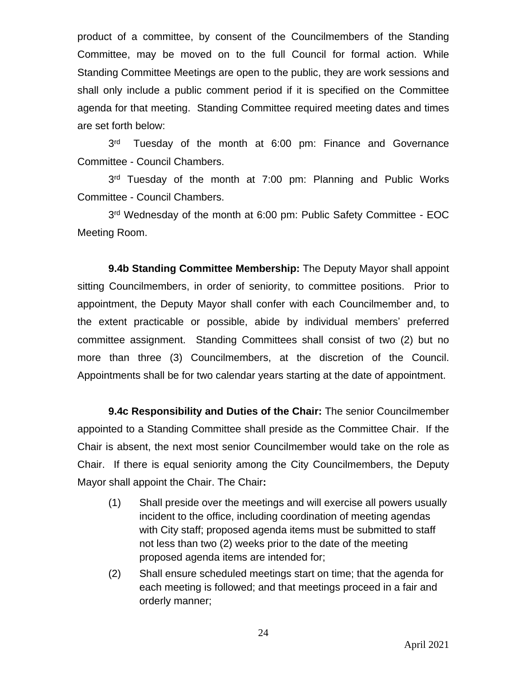product of a committee, by consent of the Councilmembers of the Standing Committee, may be moved on to the full Council for formal action. While Standing Committee Meetings are open to the public, they are work sessions and shall only include a public comment period if it is specified on the Committee agenda for that meeting. Standing Committee required meeting dates and times are set forth below:

 $3<sup>rd</sup>$ Tuesday of the month at 6:00 pm: Finance and Governance Committee - Council Chambers.

3<sup>rd</sup> Tuesday of the month at 7:00 pm: Planning and Public Works Committee - Council Chambers.

3<sup>rd</sup> Wednesday of the month at 6:00 pm: Public Safety Committee - EOC Meeting Room.

**9.4b Standing Committee Membership:** The Deputy Mayor shall appoint sitting Councilmembers, in order of seniority, to committee positions. Prior to appointment, the Deputy Mayor shall confer with each Councilmember and, to the extent practicable or possible, abide by individual members' preferred committee assignment. Standing Committees shall consist of two (2) but no more than three (3) Councilmembers, at the discretion of the Council. Appointments shall be for two calendar years starting at the date of appointment.

**9.4c Responsibility and Duties of the Chair:** The senior Councilmember appointed to a Standing Committee shall preside as the Committee Chair. If the Chair is absent, the next most senior Councilmember would take on the role as Chair. If there is equal seniority among the City Councilmembers, the Deputy Mayor shall appoint the Chair. The Chair**:**

- (1) Shall preside over the meetings and will exercise all powers usually incident to the office, including coordination of meeting agendas with City staff; proposed agenda items must be submitted to staff not less than two (2) weeks prior to the date of the meeting proposed agenda items are intended for;
- (2) Shall ensure scheduled meetings start on time; that the agenda for each meeting is followed; and that meetings proceed in a fair and orderly manner;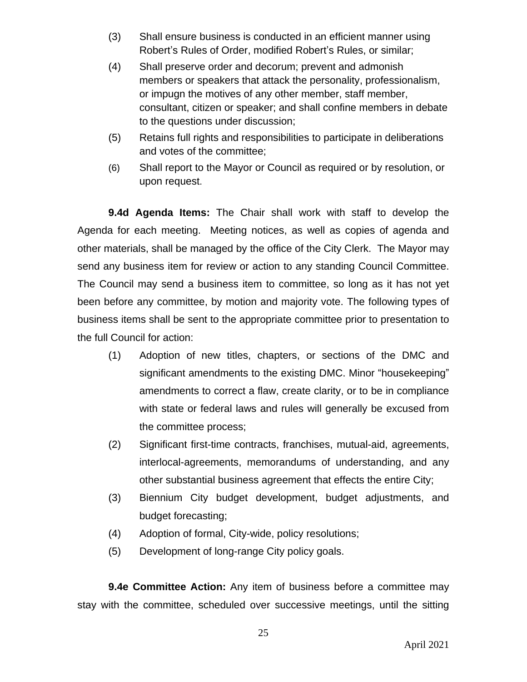- (3) Shall ensure business is conducted in an efficient manner using Robert's Rules of Order, modified Robert's Rules, or similar;
- (4) Shall preserve order and decorum; prevent and admonish members or speakers that attack the personality, professionalism, or impugn the motives of any other member, staff member, consultant, citizen or speaker; and shall confine members in debate to the questions under discussion;
- (5) Retains full rights and responsibilities to participate in deliberations and votes of the committee;
- (6) Shall report to the Mayor or Council as required or by resolution, or upon request.

**9.4d Agenda Items:** The Chair shall work with staff to develop the Agenda for each meeting. Meeting notices, as well as copies of agenda and other materials, shall be managed by the office of the City Clerk. The Mayor may send any business item for review or action to any standing Council Committee. The Council may send a business item to committee, so long as it has not yet been before any committee, by motion and majority vote. The following types of business items shall be sent to the appropriate committee prior to presentation to the full Council for action:

- (1) Adoption of new titles, chapters, or sections of the DMC and significant amendments to the existing DMC. Minor "housekeeping" amendments to correct a flaw, create clarity, or to be in compliance with state or federal laws and rules will generally be excused from the committee process;
- (2) Significant first-time contracts, franchises, mutual-aid, agreements, interlocal-agreements, memorandums of understanding, and any other substantial business agreement that effects the entire City;
- (3) Biennium City budget development, budget adjustments, and budget forecasting;
- (4) Adoption of formal, City-wide, policy resolutions;
- (5) Development of long-range City policy goals.

**9.4e Committee Action:** Any item of business before a committee may stay with the committee, scheduled over successive meetings, until the sitting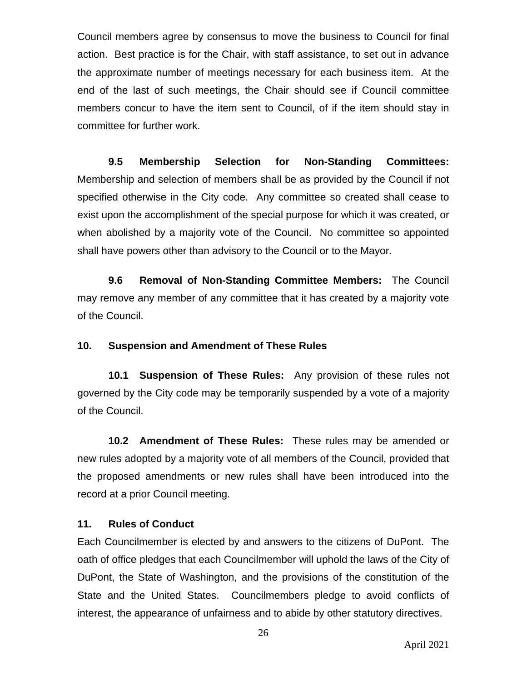Council members agree by consensus to move the business to Council for final action. Best practice is for the Chair, with staff assistance, to set out in advance the approximate number of meetings necessary for each business item. At the end of the last of such meetings, the Chair should see if Council committee members concur to have the item sent to Council, of if the item should stay in committee for further work.

**9.5 Membership Selection for Non-Standing Committees:** Membership and selection of members shall be as provided by the Council if not specified otherwise in the City code. Any committee so created shall cease to exist upon the accomplishment of the special purpose for which it was created, or when abolished by a majority vote of the Council. No committee so appointed shall have powers other than advisory to the Council or to the Mayor.

**9.6 Removal of Non-Standing Committee Members:** The Council may remove any member of any committee that it has created by a majority vote of the Council.

### **10. Suspension and Amendment of These Rules**

**10.1 Suspension of These Rules:** Any provision of these rules not governed by the City code may be temporarily suspended by a vote of a majority of the Council.

**10.2 Amendment of These Rules:** These rules may be amended or new rules adopted by a majority vote of all members of the Council, provided that the proposed amendments or new rules shall have been introduced into the record at a prior Council meeting.

# **11. Rules of Conduct**

Each Councilmember is elected by and answers to the citizens of DuPont. The oath of office pledges that each Councilmember will uphold the laws of the City of DuPont, the State of Washington, and the provisions of the constitution of the State and the United States. Councilmembers pledge to avoid conflicts of interest, the appearance of unfairness and to abide by other statutory directives.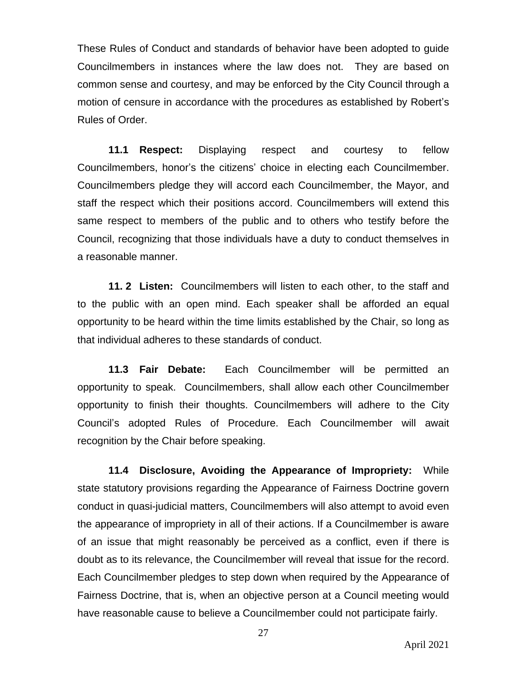These Rules of Conduct and standards of behavior have been adopted to guide Councilmembers in instances where the law does not. They are based on common sense and courtesy, and may be enforced by the City Council through a motion of censure in accordance with the procedures as established by Robert's Rules of Order.

**11.1 Respect:** Displaying respect and courtesy to fellow Councilmembers, honor's the citizens' choice in electing each Councilmember. Councilmembers pledge they will accord each Councilmember, the Mayor, and staff the respect which their positions accord. Councilmembers will extend this same respect to members of the public and to others who testify before the Council, recognizing that those individuals have a duty to conduct themselves in a reasonable manner.

**11. 2 Listen:** Councilmembers will listen to each other, to the staff and to the public with an open mind. Each speaker shall be afforded an equal opportunity to be heard within the time limits established by the Chair, so long as that individual adheres to these standards of conduct.

**11.3 Fair Debate:** Each Councilmember will be permitted an opportunity to speak. Councilmembers, shall allow each other Councilmember opportunity to finish their thoughts. Councilmembers will adhere to the City Council's adopted Rules of Procedure. Each Councilmember will await recognition by the Chair before speaking.

**11.4 Disclosure, Avoiding the Appearance of Impropriety:** While state statutory provisions regarding the Appearance of Fairness Doctrine govern conduct in quasi-judicial matters, Councilmembers will also attempt to avoid even the appearance of impropriety in all of their actions. If a Councilmember is aware of an issue that might reasonably be perceived as a conflict, even if there is doubt as to its relevance, the Councilmember will reveal that issue for the record. Each Councilmember pledges to step down when required by the Appearance of Fairness Doctrine, that is, when an objective person at a Council meeting would have reasonable cause to believe a Councilmember could not participate fairly.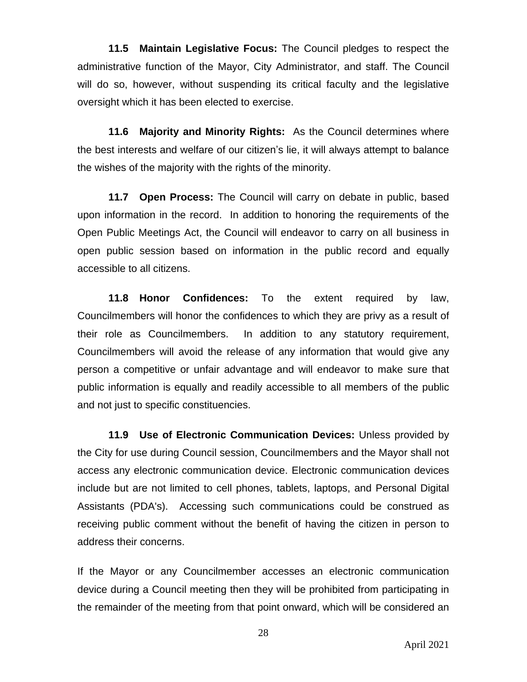**11.5 Maintain Legislative Focus:** The Council pledges to respect the administrative function of the Mayor, City Administrator, and staff. The Council will do so, however, without suspending its critical faculty and the legislative oversight which it has been elected to exercise.

**11.6 Majority and Minority Rights:** As the Council determines where the best interests and welfare of our citizen's lie, it will always attempt to balance the wishes of the majority with the rights of the minority.

**11.7 Open Process:** The Council will carry on debate in public, based upon information in the record. In addition to honoring the requirements of the Open Public Meetings Act, the Council will endeavor to carry on all business in open public session based on information in the public record and equally accessible to all citizens.

**11.8 Honor Confidences:** To the extent required by law, Councilmembers will honor the confidences to which they are privy as a result of their role as Councilmembers. In addition to any statutory requirement, Councilmembers will avoid the release of any information that would give any person a competitive or unfair advantage and will endeavor to make sure that public information is equally and readily accessible to all members of the public and not just to specific constituencies.

**11.9 Use of Electronic Communication Devices:** Unless provided by the City for use during Council session, Councilmembers and the Mayor shall not access any electronic communication device. Electronic communication devices include but are not limited to cell phones, tablets, laptops, and Personal Digital Assistants (PDA's). Accessing such communications could be construed as receiving public comment without the benefit of having the citizen in person to address their concerns.

If the Mayor or any Councilmember accesses an electronic communication device during a Council meeting then they will be prohibited from participating in the remainder of the meeting from that point onward, which will be considered an